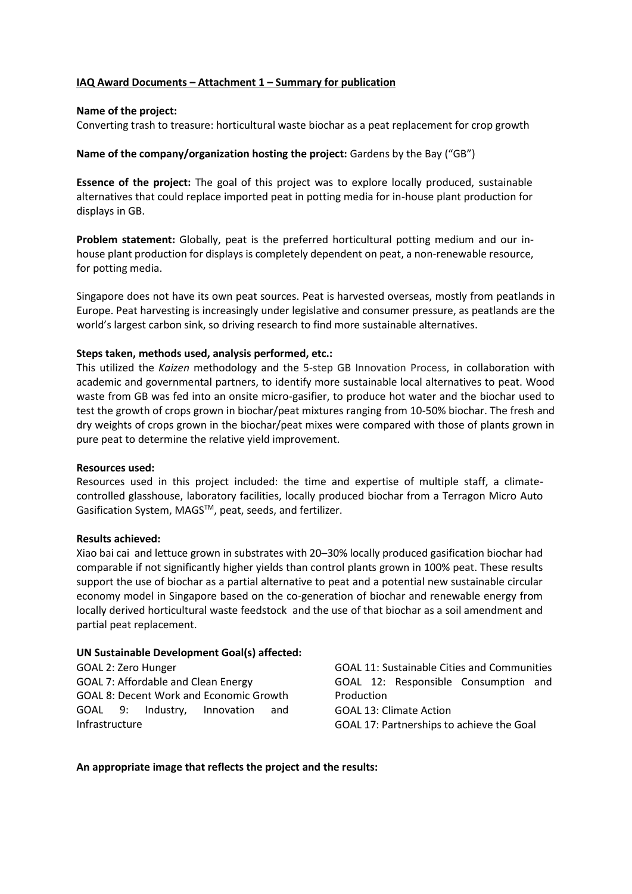# **IAQ Award Documents – Attachment 1 – Summary for publication**

## **Name of the project:**

Converting trash to treasure: horticultural waste biochar as a peat replacement for crop growth

## **Name of the company/organization hosting the project:** Gardens by the Bay ("GB")

**Essence of the project:** The goal of this project was to explore locally produced, sustainable alternatives that could replace imported peat in potting media for in-house plant production for displays in GB.

**Problem statement:** Globally, peat is the preferred horticultural potting medium and our inhouse plant production for displays is completely dependent on peat, a non-renewable resource, for potting media.

Singapore does not have its own peat sources. Peat is harvested overseas, mostly from peatlands in Europe. Peat harvesting is increasingly under legislative and consumer pressure, as peatlands are the world's largest carbon sink, so driving research to find more sustainable alternatives.

### **Steps taken, methods used, analysis performed, etc.:**

This utilized the *Kaizen* methodology and the 5-step GB Innovation Process, in collaboration with academic and governmental partners, to identify more sustainable local alternatives to peat. Wood waste from GB was fed into an onsite micro-gasifier, to produce hot water and the biochar used to test the growth of crops grown in biochar/peat mixtures ranging from 10-50% biochar. The fresh and dry weights of crops grown in the biochar/peat mixes were compared with those of plants grown in pure peat to determine the relative yield improvement.

#### **Resources used:**

Resources used in this project included: the time and expertise of multiple staff, a climatecontrolled glasshouse, laboratory facilities, locally produced biochar from a Terragon Micro Auto Gasification System, MAGS™, peat, seeds, and fertilizer.

#### **Results achieved:**

Xiao bai cai and lettuce grown in substrates with 20–30% locally produced gasification biochar had comparable if not significantly higher yields than control plants grown in 100% peat. These results support the use of biochar as a partial alternative to peat and a potential new sustainable circular economy model in Singapore based on the co-generation of biochar and renewable energy from locally derived horticultural waste feedstock and the use of that biochar as a soil amendment and partial peat replacement.

#### **UN Sustainable Development Goal(s) affected:**

GOAL 2: Zero Hunger GOAL 7: Affordable and Clean Energy GOAL 8: Decent Work and Economic Growth GOAL 9: Industry, Innovation and Infrastructure

GOAL 11: Sustainable Cities and Communities GOAL 12: Responsible Consumption and Production GOAL 13: Climate Action GOAL 17: Partnerships to achieve the Goal

#### **An appropriate image that reflects the project and the results:**